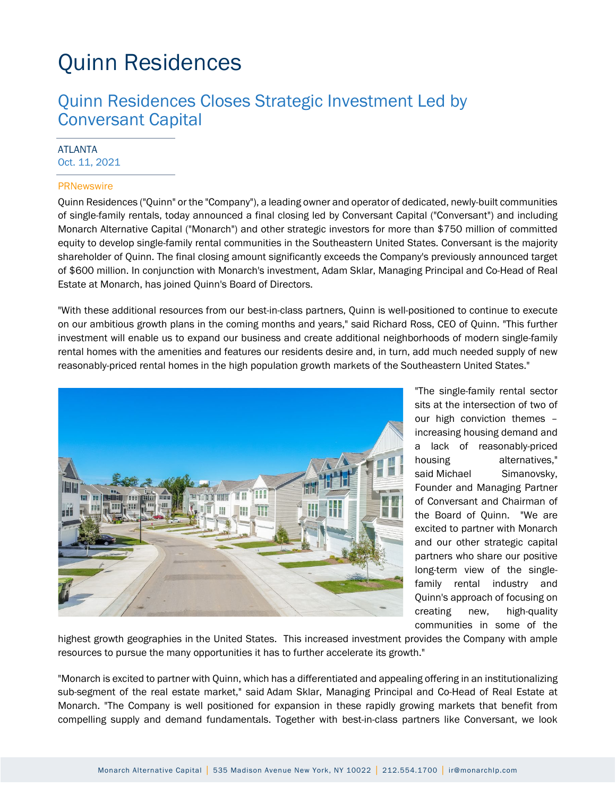## Quinn Residences

## Quinn Residences Closes Strategic Investment Led by Conversant Capital

#### ATLANTA Oct. 11, 2021

#### **PRNewswire**

Quinn Residences ("Quinn" or the "Company"), a leading owner and operator of dedicated, newly-built communities of single-family rentals, today announced a final closing led by Conversant Capital ("Conversant") and including Monarch Alternative Capital ("Monarch") and other strategic investors for more than \$750 million of committed equity to develop single-family rental communities in the Southeastern United States. Conversant is the majority shareholder of Quinn. The final closing amount significantly exceeds the Company's previously announced target of \$600 million. In conjunction with Monarch's investment, Adam Sklar, Managing Principal and Co-Head of Real Estate at Monarch, has joined Quinn's Board of Directors.

"With these additional resources from our best-in-class partners, Quinn is well-positioned to continue to execute on our ambitious growth plans in the coming months and years," said Richard Ross, CEO of Quinn. "This further investment will enable us to expand our business and create additional neighborhoods of modern single-family rental homes with the amenities and features our residents desire and, in turn, add much needed supply of new reasonably-priced rental homes in the high population growth markets of the Southeastern United States."



"The single-family rental sector sits at the intersection of two of our high conviction themes – increasing housing demand and a lack of reasonably-priced housing alternatives," said Michael Simanovsky, Founder and Managing Partner of Conversant and Chairman of the Board of Quinn. "We are excited to partner with Monarch and our other strategic capital partners who share our positive long-term view of the singlefamily rental industry and Quinn's approach of focusing on creating new, high-quality communities in some of the

highest growth geographies in the United States. This increased investment provides the Company with ample resources to pursue the many opportunities it has to further accelerate its growth."

"Monarch is excited to partner with Quinn, which has a differentiated and appealing offering in an institutionalizing sub-segment of the real estate market," said Adam Sklar, Managing Principal and Co-Head of Real Estate at Monarch. "The Company is well positioned for expansion in these rapidly growing markets that benefit from compelling supply and demand fundamentals. Together with best-in-class partners like Conversant, we look